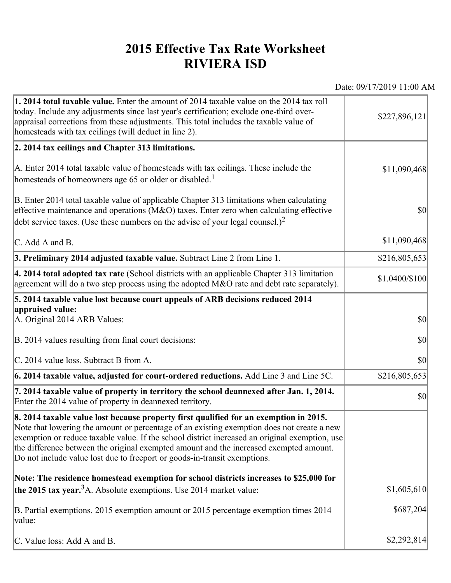## **2015 Effective Tax Rate Worksheet RIVIERA ISD**

Date: 09/17/2019 11:00 AM

| 1. 2014 total taxable value. Enter the amount of 2014 taxable value on the 2014 tax roll<br>today. Include any adjustments since last year's certification; exclude one-third over-<br>appraisal corrections from these adjustments. This total includes the taxable value of<br>homesteads with tax ceilings (will deduct in line 2).                                                                                                                       | \$227,896,121  |
|--------------------------------------------------------------------------------------------------------------------------------------------------------------------------------------------------------------------------------------------------------------------------------------------------------------------------------------------------------------------------------------------------------------------------------------------------------------|----------------|
| 2. 2014 tax ceilings and Chapter 313 limitations.                                                                                                                                                                                                                                                                                                                                                                                                            |                |
| A. Enter 2014 total taxable value of homesteads with tax ceilings. These include the<br>homesteads of homeowners age 65 or older or disabled. <sup>1</sup>                                                                                                                                                                                                                                                                                                   | \$11,090,468   |
| B. Enter 2014 total taxable value of applicable Chapter 313 limitations when calculating<br>effective maintenance and operations ( $M&O$ ) taxes. Enter zero when calculating effective<br>debt service taxes. (Use these numbers on the advise of your legal counsel.) <sup>2</sup>                                                                                                                                                                         | $ 10\rangle$   |
| C. Add A and B.                                                                                                                                                                                                                                                                                                                                                                                                                                              | \$11,090,468   |
| 3. Preliminary 2014 adjusted taxable value. Subtract Line 2 from Line 1.                                                                                                                                                                                                                                                                                                                                                                                     | \$216,805,653  |
| $\vert$ 4. 2014 total adopted tax rate (School districts with an applicable Chapter 313 limitation<br>agreement will do a two step process using the adopted M&O rate and debt rate separately).                                                                                                                                                                                                                                                             | \$1.0400/\$100 |
| 5. 2014 taxable value lost because court appeals of ARB decisions reduced 2014                                                                                                                                                                                                                                                                                                                                                                               |                |
| appraised value:<br>A. Original 2014 ARB Values:                                                                                                                                                                                                                                                                                                                                                                                                             | $ 10\rangle$   |
| B. 2014 values resulting from final court decisions:                                                                                                                                                                                                                                                                                                                                                                                                         | \$0            |
| C. 2014 value loss. Subtract B from A.                                                                                                                                                                                                                                                                                                                                                                                                                       | $ 10\rangle$   |
| 6. 2014 taxable value, adjusted for court-ordered reductions. Add Line 3 and Line 5C.                                                                                                                                                                                                                                                                                                                                                                        | \$216,805,653  |
| 7. 2014 taxable value of property in territory the school deannexed after Jan. 1, 2014.<br>Enter the 2014 value of property in deannexed territory.                                                                                                                                                                                                                                                                                                          | $ 10\rangle$   |
| 8. 2014 taxable value lost because property first qualified for an exemption in 2015.<br>Note that lowering the amount or percentage of an existing exemption does not create a new<br>exemption or reduce taxable value. If the school district increased an original exemption, use<br>the difference between the original exempted amount and the increased exempted amount.<br>Do not include value lost due to freeport or goods-in-transit exemptions. |                |
| Note: The residence homestead exemption for school districts increases to \$25,000 for                                                                                                                                                                                                                                                                                                                                                                       |                |
| the 2015 tax year. <sup>3</sup> A. Absolute exemptions. Use 2014 market value:                                                                                                                                                                                                                                                                                                                                                                               | \$1,605,610    |
| B. Partial exemptions. 2015 exemption amount or 2015 percentage exemption times 2014<br>value:                                                                                                                                                                                                                                                                                                                                                               | \$687,204      |
| C. Value loss: Add A and B.                                                                                                                                                                                                                                                                                                                                                                                                                                  | \$2,292,814    |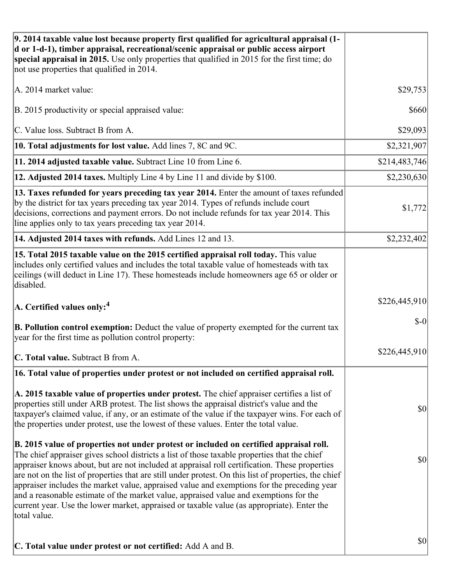| 9. 2014 taxable value lost because property first qualified for agricultural appraisal (1-<br>d or 1-d-1), timber appraisal, recreational/scenic appraisal or public access airport<br>special appraisal in 2015. Use only properties that qualified in 2015 for the first time; do<br>not use properties that qualified in 2014.                                                                                                                                                                                                                                                                                                                                                                     |               |
|-------------------------------------------------------------------------------------------------------------------------------------------------------------------------------------------------------------------------------------------------------------------------------------------------------------------------------------------------------------------------------------------------------------------------------------------------------------------------------------------------------------------------------------------------------------------------------------------------------------------------------------------------------------------------------------------------------|---------------|
| A. 2014 market value:                                                                                                                                                                                                                                                                                                                                                                                                                                                                                                                                                                                                                                                                                 | \$29,753      |
| B. 2015 productivity or special appraised value:                                                                                                                                                                                                                                                                                                                                                                                                                                                                                                                                                                                                                                                      | \$660         |
| C. Value loss. Subtract B from A.                                                                                                                                                                                                                                                                                                                                                                                                                                                                                                                                                                                                                                                                     | \$29,093      |
| 10. Total adjustments for lost value. Add lines 7, 8C and 9C.                                                                                                                                                                                                                                                                                                                                                                                                                                                                                                                                                                                                                                         | \$2,321,907   |
| 11. 2014 adjusted taxable value. Subtract Line 10 from Line 6.                                                                                                                                                                                                                                                                                                                                                                                                                                                                                                                                                                                                                                        | \$214,483,746 |
| 12. Adjusted 2014 taxes. Multiply Line 4 by Line 11 and divide by \$100.                                                                                                                                                                                                                                                                                                                                                                                                                                                                                                                                                                                                                              | \$2,230,630   |
| 13. Taxes refunded for years preceding tax year 2014. Enter the amount of taxes refunded<br>by the district for tax years preceding tax year 2014. Types of refunds include court<br>decisions, corrections and payment errors. Do not include refunds for tax year 2014. This<br>line applies only to tax years preceding tax year 2014.                                                                                                                                                                                                                                                                                                                                                             | \$1,772       |
| 14. Adjusted 2014 taxes with refunds. Add Lines 12 and 13.                                                                                                                                                                                                                                                                                                                                                                                                                                                                                                                                                                                                                                            | \$2,232,402   |
| 15. Total 2015 taxable value on the 2015 certified appraisal roll today. This value<br>includes only certified values and includes the total taxable value of homesteads with tax<br>ceilings (will deduct in Line 17). These homesteads include homeowners age 65 or older or<br>disabled.                                                                                                                                                                                                                                                                                                                                                                                                           |               |
| $ A$ . Certified values only: <sup>4</sup>                                                                                                                                                                                                                                                                                                                                                                                                                                                                                                                                                                                                                                                            | \$226,445,910 |
| <b>B. Pollution control exemption:</b> Deduct the value of property exempted for the current tax<br>year for the first time as pollution control property:                                                                                                                                                                                                                                                                                                                                                                                                                                                                                                                                            | $$-0$         |
| C. Total value. Subtract B from A.                                                                                                                                                                                                                                                                                                                                                                                                                                                                                                                                                                                                                                                                    | \$226,445,910 |
| 16. Total value of properties under protest or not included on certified appraisal roll.                                                                                                                                                                                                                                                                                                                                                                                                                                                                                                                                                                                                              |               |
| A. 2015 taxable value of properties under protest. The chief appraiser certifies a list of<br>properties still under ARB protest. The list shows the appraisal district's value and the<br>taxpayer's claimed value, if any, or an estimate of the value if the taxpayer wins. For each of<br>the properties under protest, use the lowest of these values. Enter the total value.                                                                                                                                                                                                                                                                                                                    | \$0           |
| B. 2015 value of properties not under protest or included on certified appraisal roll.<br>The chief appraiser gives school districts a list of those taxable properties that the chief<br>appraiser knows about, but are not included at appraisal roll certification. These properties<br>are not on the list of properties that are still under protest. On this list of properties, the chief<br>appraiser includes the market value, appraised value and exemptions for the preceding year<br>and a reasonable estimate of the market value, appraised value and exemptions for the<br>current year. Use the lower market, appraised or taxable value (as appropriate). Enter the<br>total value. | \$0           |
| C. Total value under protest or not certified: Add A and B.                                                                                                                                                                                                                                                                                                                                                                                                                                                                                                                                                                                                                                           | \$0           |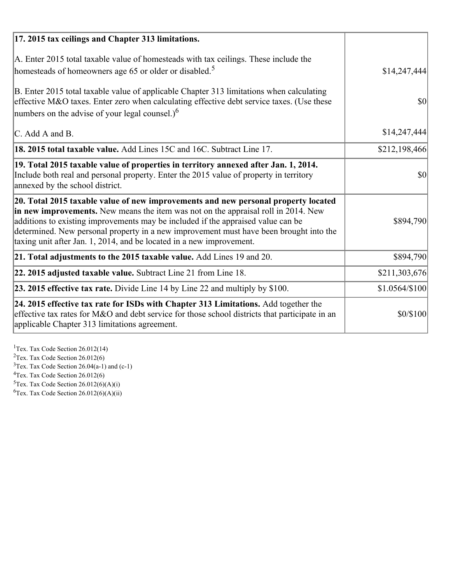| 17. 2015 tax ceilings and Chapter 313 limitations.                                                                                                                                                                                                                                                                                                                                                                             |                |
|--------------------------------------------------------------------------------------------------------------------------------------------------------------------------------------------------------------------------------------------------------------------------------------------------------------------------------------------------------------------------------------------------------------------------------|----------------|
| A. Enter 2015 total taxable value of homesteads with tax ceilings. These include the<br>homesteads of homeowners age 65 or older or disabled. <sup>5</sup>                                                                                                                                                                                                                                                                     | \$14,247,444   |
| B. Enter 2015 total taxable value of applicable Chapter 313 limitations when calculating<br>effective M&O taxes. Enter zero when calculating effective debt service taxes. (Use these<br>numbers on the advise of your legal counsel.) <sup>6</sup>                                                                                                                                                                            | \$0            |
| C. Add A and B.                                                                                                                                                                                                                                                                                                                                                                                                                | \$14,247,444   |
| 18. 2015 total taxable value. Add Lines 15C and 16C. Subtract Line 17.                                                                                                                                                                                                                                                                                                                                                         | \$212,198,466  |
| 19. Total 2015 taxable value of properties in territory annexed after Jan. 1, 2014.<br>Include both real and personal property. Enter the 2015 value of property in territory<br>annexed by the school district.                                                                                                                                                                                                               | \$0            |
| 20. Total 2015 taxable value of new improvements and new personal property located<br>in new improvements. New means the item was not on the appraisal roll in 2014. New<br>additions to existing improvements may be included if the appraised value can be<br>determined. New personal property in a new improvement must have been brought into the<br>taxing unit after Jan. 1, 2014, and be located in a new improvement. | \$894,790      |
| 21. Total adjustments to the 2015 taxable value. Add Lines 19 and 20.                                                                                                                                                                                                                                                                                                                                                          | \$894,790      |
| $ 22.2015$ adjusted taxable value. Subtract Line 21 from Line 18.                                                                                                                                                                                                                                                                                                                                                              | \$211,303,676  |
| <b>23. 2015 effective tax rate.</b> Divide Line 14 by Line 22 and multiply by \$100.                                                                                                                                                                                                                                                                                                                                           | \$1.0564/\$100 |
| 24. 2015 effective tax rate for ISDs with Chapter 313 Limitations. Add together the<br>effective tax rates for M&O and debt service for those school districts that participate in an<br>applicable Chapter 313 limitations agreement.                                                                                                                                                                                         | \$0/\$100      |

<sup>1</sup>Tex. Tax Code Section 26.012(14)  $2$ Tex. Tax Code Section 26.012(6)  $3$ Tex. Tax Code Section 26.04(a-1) and (c-1)  $4$ Tex. Tax Code Section 26.012(6)  ${}^{5}$ Tex. Tax Code Section 26.012(6)(A)(i)

 ${}^{6}$ Tex. Tax Code Section 26.012(6)(A)(ii)